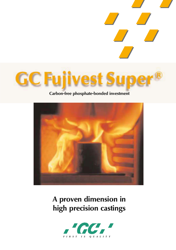

## **Carbon-free phosphate-bonded investment**



**A proven dimension in high precision castings**

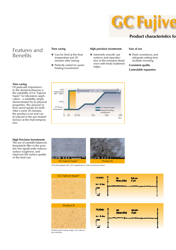

### **Product characteristics fo**

### Features and Benefits

### **Time saving**

- Can be fired at the final temperature just 20 minutes after mixing.
- Perfectly suited for quickheating investments

### **High precision investments**

● Extremely smooth cast surfaces and reproduction of the minutest detail even with finely feathered edges.

### **Ease of use**

● Fluid consistency and adequate setting time facilitate investing.

#### **Consistent quality**

**Controlable expansion**



#### **Time saving**

Of particular importance to the dental technician is the suitability of GC Fujivest Super® for laboratory application - a suitability amply demonstrated by its physical properties. The amount of time saved speaks for itself. After a mere 20 minutes, the product is set and can be placed in the pre-heated furnace at the final temperature.

### **High Precision Investments**

The use of carefully balanced, fineparticle filler in the powder mix significantly reduces surface roughness, and improves the surface quality of the final cast.



SEM photograph with 125x magnification of the investment surface

| <b>FLEED</b>      | $\frac{0.0 \text{ }\mu\text{m}}{4 \text{ }\mu\text{m}}$<br>Æ<br><b>Rour (Or)</b> |
|-------------------|----------------------------------------------------------------------------------|
| <b>Mr. 8. San</b> |                                                                                  |
|                   |                                                                                  |
|                   |                                                                                  |

Min.

240



Finished gold casting (magn. 25x) with sur-face structure

**GC Fujivest Super®**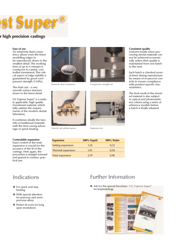### **r high precision castings**

### **Ease of use**

An extremely fluid consistency allows even the finest modelling edges to be reproduced, down to the smallest detail. The working time of up to 4 minutes is conducive to careful, controlled investment. The critical aspect of edge stability is guaranteed by good compressive strength (5 MPa).

The final cast - a very smooth surface structure down to the finest detail.

GC Fujivest Super® is a widely applicable, high quality investment material, which fully satisfies the requirements of the modern dental laboratory.

It combines ideally the benefits of traditional materials with the time-saving advantage of quick-heating.

### **Controlable expansion**

Exact control of the total expansion is crucial for the accuracy of the fit of the castings. Here again, the procedure is straight-forward and geared to routine, practical use.



*Extremely fluid consistency*



*Smooth cast without sprues*



*Compressive strength test*



*Expansion test*

**Expansion** 100% Liquid 100% Water Setting expansion 1,18 0,32 Thermal expansion 1,01 0,58 Total expansion 2,19 0,90

### **Consistent quality**

Uniform results when processing dental materials can not be achieved economically unless their quality is maintained from one batch to the next.

Each batch is checked several times during manufacture by means of in-process controls to ensure compliance with product-specific characteristics.

The final result of the invested material is also subject to optical and photometric test criteria using a series of reference models before a batch is finally released.

# **Indications**

- For quick and step heating
- With special attention for precious and semiprecious alloys
- Perfect fit even for long span resolutions

# Further Infomation

● Ask for the special brochure: "GC Fujivest Super" for Implantology